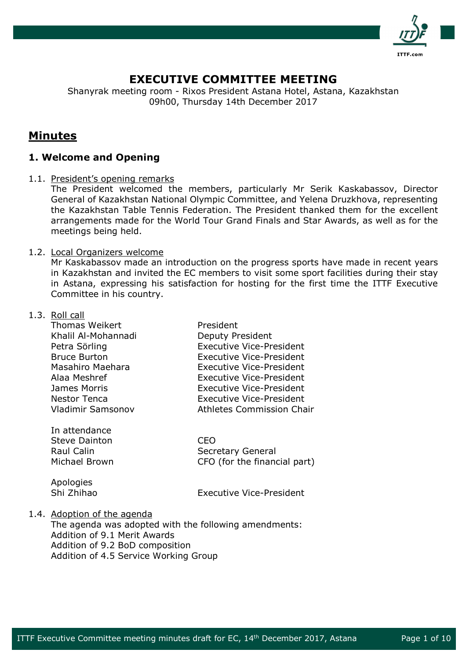

## **EXECUTIVE COMMITTEE MEETING**

Shanyrak meeting room - Rixos President Astana Hotel, Astana, Kazakhstan 09h00, Thursday 14th December 2017

# **Minutes**

## **1. Welcome and Opening**

1.1. President's opening remarks

The President welcomed the members, particularly Mr Serik Kaskabassov, Director General of Kazakhstan National Olympic Committee, and Yelena Druzkhova, representing the Kazakhstan Table Tennis Federation. The President thanked them for the excellent arrangements made for the World Tour Grand Finals and Star Awards, as well as for the meetings being held.

## 1.2. Local Organizers welcome

Mr Kaskabassov made an introduction on the progress sports have made in recent years in Kazakhstan and invited the EC members to visit some sport facilities during their stay in Astana, expressing his satisfaction for hosting for the first time the ITTF Executive Committee in his country.

### 1.3. Roll call

| <b>Thomas Weikert</b>    | President                        |
|--------------------------|----------------------------------|
| Khalil Al-Mohannadi      | Deputy President                 |
| Petra Sörling            | <b>Executive Vice-President</b>  |
| <b>Bruce Burton</b>      | <b>Executive Vice-President</b>  |
| Masahiro Maehara         | <b>Executive Vice-President</b>  |
| Alaa Meshref             | <b>Executive Vice-President</b>  |
| James Morris             | Executive Vice-President         |
| <b>Nestor Tenca</b>      | <b>Executive Vice-President</b>  |
| <b>Vladimir Samsonov</b> | <b>Athletes Commission Chair</b> |
|                          |                                  |
| In attendance            |                                  |

Steve Dainton **CEO** Raul Calin **Secretary General** Michael Brown CFO (for the financial part)

Apologies

Shi Zhihao Executive Vice-President

## 1.4. Adoption of the agenda

The agenda was adopted with the following amendments: Addition of 9.1 Merit Awards Addition of 9.2 BoD composition Addition of 4.5 Service Working Group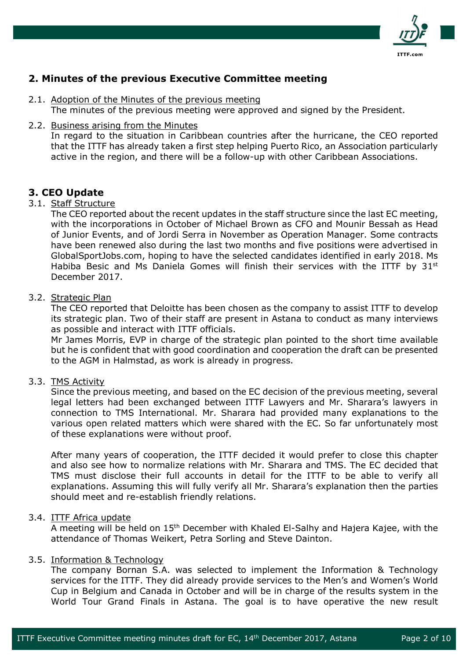

## **2. Minutes of the previous Executive Committee meeting**

- 2.1. Adoption of the Minutes of the previous meeting The minutes of the previous meeting were approved and signed by the President.
- 2.2. Business arising from the Minutes

In regard to the situation in Caribbean countries after the hurricane, the CEO reported that the ITTF has already taken a first step helping Puerto Rico, an Association particularly active in the region, and there will be a follow-up with other Caribbean Associations.

## **3. CEO Update**

## 3.1. Staff Structure

The CEO reported about the recent updates in the staff structure since the last EC meeting, with the incorporations in October of Michael Brown as CFO and Mounir Bessah as Head of Junior Events, and of Jordi Serra in November as Operation Manager. Some contracts have been renewed also during the last two months and five positions were advertised in GlobalSportJobs.com, hoping to have the selected candidates identified in early 2018. Ms Habiba Besic and Ms Daniela Gomes will finish their services with the ITTF by 31<sup>st</sup> December 2017.

## 3.2. Strategic Plan

The CEO reported that Deloitte has been chosen as the company to assist ITTF to develop its strategic plan. Two of their staff are present in Astana to conduct as many interviews as possible and interact with ITTF officials.

Mr James Morris, EVP in charge of the strategic plan pointed to the short time available but he is confident that with good coordination and cooperation the draft can be presented to the AGM in Halmstad, as work is already in progress.

### 3.3. TMS Activity

Since the previous meeting, and based on the EC decision of the previous meeting, several legal letters had been exchanged between ITTF Lawyers and Mr. Sharara's lawyers in connection to TMS International. Mr. Sharara had provided many explanations to the various open related matters which were shared with the EC. So far unfortunately most of these explanations were without proof.

After many years of cooperation, the ITTF decided it would prefer to close this chapter and also see how to normalize relations with Mr. Sharara and TMS. The EC decided that TMS must disclose their full accounts in detail for the ITTF to be able to verify all explanations. Assuming this will fully verify all Mr. Sharara's explanation then the parties should meet and re-establish friendly relations.

### 3.4. ITTF Africa update

A meeting will be held on 15<sup>th</sup> December with Khaled El-Salhy and Hajera Kajee, with the attendance of Thomas Weikert, Petra Sorling and Steve Dainton.

#### 3.5. Information & Technology

The company Bornan S.A. was selected to implement the Information & Technology services for the ITTF. They did already provide services to the Men's and Women's World Cup in Belgium and Canada in October and will be in charge of the results system in the World Tour Grand Finals in Astana. The goal is to have operative the new result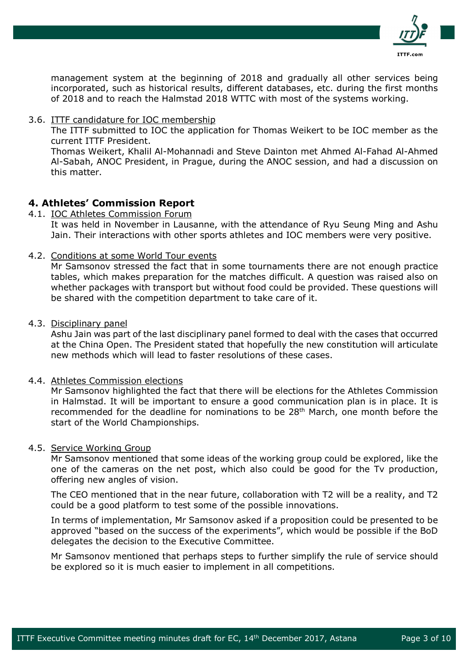

management system at the beginning of 2018 and gradually all other services being incorporated, such as historical results, different databases, etc. during the first months of 2018 and to reach the Halmstad 2018 WTTC with most of the systems working.

3.6. ITTF candidature for IOC membership

The ITTF submitted to IOC the application for Thomas Weikert to be IOC member as the current ITTF President.

Thomas Weikert, Khalil Al-Mohannadi and Steve Dainton met Ahmed Al-Fahad Al-Ahmed Al-Sabah, ANOC President, in Prague, during the ANOC session, and had a discussion on this matter.

## **4. Athletes' Commission Report**

4.1. IOC Athletes Commission Forum

It was held in November in Lausanne, with the attendance of Ryu Seung Ming and Ashu Jain. Their interactions with other sports athletes and IOC members were very positive.

4.2. Conditions at some World Tour events

Mr Samsonov stressed the fact that in some tournaments there are not enough practice tables, which makes preparation for the matches difficult. A question was raised also on whether packages with transport but without food could be provided. These questions will be shared with the competition department to take care of it.

4.3. Disciplinary panel

Ashu Jain was part of the last disciplinary panel formed to deal with the cases that occurred at the China Open. The President stated that hopefully the new constitution will articulate new methods which will lead to faster resolutions of these cases.

4.4. Athletes Commission elections

Mr Samsonov highlighted the fact that there will be elections for the Athletes Commission in Halmstad. It will be important to ensure a good communication plan is in place. It is recommended for the deadline for nominations to be 28<sup>th</sup> March, one month before the start of the World Championships.

### 4.5. Service Working Group

Mr Samsonov mentioned that some ideas of the working group could be explored, like the one of the cameras on the net post, which also could be good for the Tv production, offering new angles of vision.

The CEO mentioned that in the near future, collaboration with T2 will be a reality, and T2 could be a good platform to test some of the possible innovations.

In terms of implementation, Mr Samsonov asked if a proposition could be presented to be approved "based on the success of the experiments", which would be possible if the BoD delegates the decision to the Executive Committee.

Mr Samsonov mentioned that perhaps steps to further simplify the rule of service should be explored so it is much easier to implement in all competitions.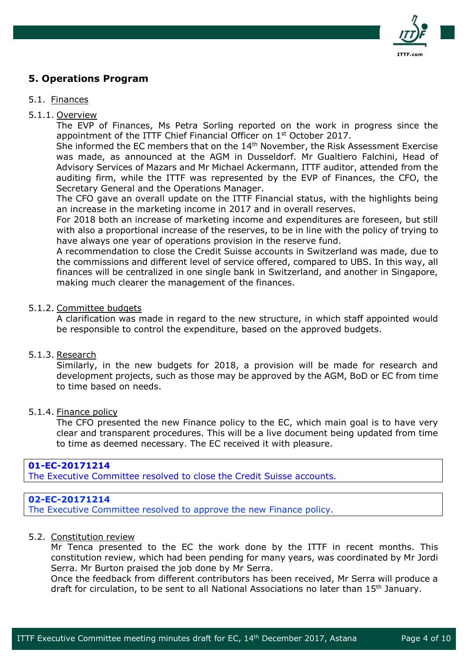

## **5. Operations Program**

### 5.1. Finances

### 5.1.1. Overview

The EVP of Finances, Ms Petra Sorling reported on the work in progress since the appointment of the ITTF Chief Financial Officer on 1<sup>st</sup> October 2017.

She informed the EC members that on the 14<sup>th</sup> November, the Risk Assessment Exercise was made, as announced at the AGM in Dusseldorf. Mr Gualtiero Falchini, Head of Advisory Services of Mazars and Mr Michael Ackermann, ITTF auditor, attended from the auditing firm, while the ITTF was represented by the EVP of Finances, the CFO, the Secretary General and the Operations Manager.

The CFO gave an overall update on the ITTF Financial status, with the highlights being an increase in the marketing income in 2017 and in overall reserves.

For 2018 both an increase of marketing income and expenditures are foreseen, but still with also a proportional increase of the reserves, to be in line with the policy of trying to have always one year of operations provision in the reserve fund.

A recommendation to close the Credit Suisse accounts in Switzerland was made, due to the commissions and different level of service offered, compared to UBS. In this way, all finances will be centralized in one single bank in Switzerland, and another in Singapore, making much clearer the management of the finances.

### 5.1.2. Committee budgets

A clarification was made in regard to the new structure, in which staff appointed would be responsible to control the expenditure, based on the approved budgets.

### 5.1.3. Research

Similarly, in the new budgets for 2018, a provision will be made for research and development projects, such as those may be approved by the AGM, BoD or EC from time to time based on needs.

### 5.1.4. Finance policy

The CFO presented the new Finance policy to the EC, which main goal is to have very clear and transparent procedures. This will be a live document being updated from time to time as deemed necessary. The EC received it with pleasure.

### **01-EC-20171214**

The Executive Committee resolved to close the Credit Suisse accounts.

## **02-EC-20171214**

The Executive Committee resolved to approve the new Finance policy.

## 5.2. Constitution review

Mr Tenca presented to the EC the work done by the ITTF in recent months. This constitution review, which had been pending for many years, was coordinated by Mr Jordi Serra. Mr Burton praised the job done by Mr Serra.

Once the feedback from different contributors has been received, Mr Serra will produce a draft for circulation, to be sent to all National Associations no later than 15<sup>th</sup> January.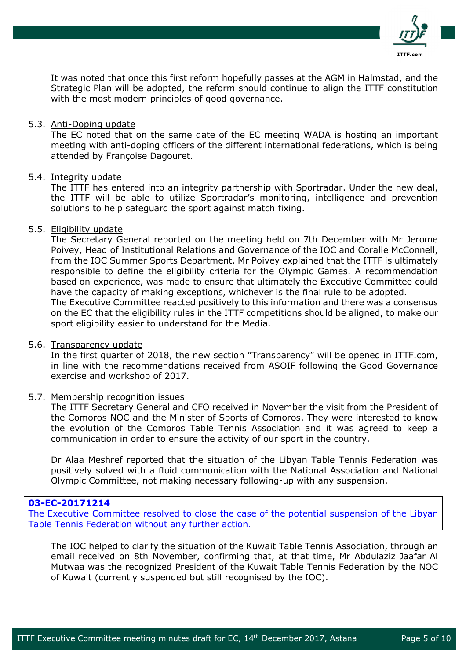

It was noted that once this first reform hopefully passes at the AGM in Halmstad, and the Strategic Plan will be adopted, the reform should continue to align the ITTF constitution with the most modern principles of good governance.

#### 5.3. Anti-Doping update

The EC noted that on the same date of the EC meeting WADA is hosting an important meeting with anti-doping officers of the different international federations, which is being attended by Françoise Dagouret.

#### 5.4. Integrity update

The ITTF has entered into an integrity partnership with Sportradar. Under the new deal, the ITTF will be able to utilize Sportradar's monitoring, intelligence and prevention solutions to help safeguard the sport against match fixing.

#### 5.5. Eligibility update

The Secretary General reported on the meeting held on 7th December with Mr Jerome Poivey, Head of Institutional Relations and Governance of the IOC and Coralie McConnell, from the IOC Summer Sports Department. Mr Poivey explained that the ITTF is ultimately responsible to define the eligibility criteria for the Olympic Games. A recommendation based on experience, was made to ensure that ultimately the Executive Committee could have the capacity of making exceptions, whichever is the final rule to be adopted. The Executive Committee reacted positively to this information and there was a consensus

on the EC that the eligibility rules in the ITTF competitions should be aligned, to make our sport eligibility easier to understand for the Media.

#### 5.6. Transparency update

In the first quarter of 2018, the new section "Transparency" will be opened in ITTF.com, in line with the recommendations received from ASOIF following the Good Governance exercise and workshop of 2017.

#### 5.7. Membership recognition issues

The ITTF Secretary General and CFO received in November the visit from the President of the Comoros NOC and the Minister of Sports of Comoros. They were interested to know the evolution of the Comoros Table Tennis Association and it was agreed to keep a communication in order to ensure the activity of our sport in the country.

Dr Alaa Meshref reported that the situation of the Libyan Table Tennis Federation was positively solved with a fluid communication with the National Association and National Olympic Committee, not making necessary following-up with any suspension.

## **03-EC-20171214**

The Executive Committee resolved to close the case of the potential suspension of the Libyan Table Tennis Federation without any further action.

The IOC helped to clarify the situation of the Kuwait Table Tennis Association, through an email received on 8th November, confirming that, at that time, Mr Abdulaziz Jaafar Al Mutwaa was the recognized President of the Kuwait Table Tennis Federation by the NOC of Kuwait (currently suspended but still recognised by the IOC).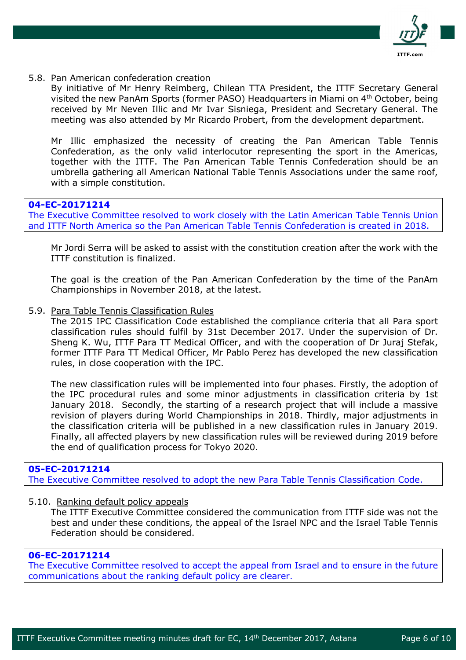

#### 5.8. Pan American confederation creation

By initiative of Mr Henry Reimberg, Chilean TTA President, the ITTF Secretary General visited the new PanAm Sports (former PASO) Headquarters in Miami on 4<sup>th</sup> October, being received by Mr Neven Illic and Mr Ivar Sisniega, President and Secretary General. The meeting was also attended by Mr Ricardo Probert, from the development department.

Mr Illic emphasized the necessity of creating the Pan American Table Tennis Confederation, as the only valid interlocutor representing the sport in the Americas, together with the ITTF. The Pan American Table Tennis Confederation should be an umbrella gathering all American National Table Tennis Associations under the same roof, with a simple constitution.

## **04-EC-20171214**

The Executive Committee resolved to work closely with the Latin American Table Tennis Union and ITTF North America so the Pan American Table Tennis Confederation is created in 2018.

Mr Jordi Serra will be asked to assist with the constitution creation after the work with the ITTF constitution is finalized.

The goal is the creation of the Pan American Confederation by the time of the PanAm Championships in November 2018, at the latest.

#### 5.9. Para Table Tennis Classification Rules

The 2015 IPC Classification Code established the compliance criteria that all Para sport classification rules should fulfil by 31st December 2017. Under the supervision of Dr. Sheng K. Wu, ITTF Para TT Medical Officer, and with the cooperation of Dr Juraj Stefak, former ITTF Para TT Medical Officer, Mr Pablo Perez has developed the new classification rules, in close cooperation with the IPC.

The new classification rules will be implemented into four phases. Firstly, the adoption of the IPC procedural rules and some minor adjustments in classification criteria by 1st January 2018. Secondly, the starting of a research project that will include a massive revision of players during World Championships in 2018. Thirdly, major adjustments in the classification criteria will be published in a new classification rules in January 2019. Finally, all affected players by new classification rules will be reviewed during 2019 before the end of qualification process for Tokyo 2020.

## **05-EC-20171214**

The Executive Committee resolved to adopt the new Para Table Tennis Classification Code.

#### 5.10. Ranking default policy appeals

The ITTF Executive Committee considered the communication from ITTF side was not the best and under these conditions, the appeal of the Israel NPC and the Israel Table Tennis Federation should be considered.

## **06-EC-20171214**

The Executive Committee resolved to accept the appeal from Israel and to ensure in the future communications about the ranking default policy are clearer.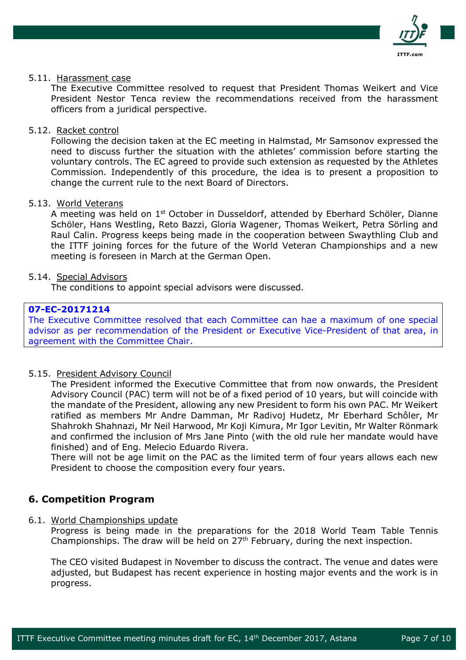

#### 5.11. Harassment case

The Executive Committee resolved to request that President Thomas Weikert and Vice President Nestor Tenca review the recommendations received from the harassment officers from a juridical perspective.

#### 5.12. Racket control

Following the decision taken at the EC meeting in Halmstad, Mr Samsonov expressed the need to discuss further the situation with the athletes' commission before starting the voluntary controls. The EC agreed to provide such extension as requested by the Athletes Commission. Independently of this procedure, the idea is to present a proposition to change the current rule to the next Board of Directors.

#### 5.13. World Veterans

A meeting was held on 1<sup>st</sup> October in Dusseldorf, attended by Eberhard Schöler, Dianne Schöler, Hans Westling, Reto Bazzi, Gloria Wagener, Thomas Weikert, Petra Sörling and Raul Calin. Progress keeps being made in the cooperation between Swaythling Club and the ITTF joining forces for the future of the World Veteran Championships and a new meeting is foreseen in March at the German Open.

#### 5.14. Special Advisors

The conditions to appoint special advisors were discussed.

## **07-EC-20171214**

The Executive Committee resolved that each Committee can hae a maximum of one special advisor as per recommendation of the President or Executive Vice-President of that area, in agreement with the Committee Chair.

### 5.15. President Advisory Council

The President informed the Executive Committee that from now onwards, the President Advisory Council (PAC) term will not be of a fixed period of 10 years, but will coincide with the mandate of the President, allowing any new President to form his own PAC. Mr Weikert ratified as members Mr Andre Damman, Mr Radivoj Hudetz, Mr Eberhard Schôler, Mr Shahrokh Shahnazi, Mr Neil Harwood, Mr Koji Kimura, Mr Igor Levitin, Mr Walter Rönmark and confirmed the inclusion of Mrs Jane Pinto (with the old rule her mandate would have finished) and of Eng. Melecio Eduardo Rivera.

There will not be age limit on the PAC as the limited term of four years allows each new President to choose the composition every four years.

## **6. Competition Program**

#### 6.1. World Championships update

Progress is being made in the preparations for the 2018 World Team Table Tennis Championships. The draw will be held on  $27<sup>th</sup>$  February, during the next inspection.

The CEO visited Budapest in November to discuss the contract. The venue and dates were adjusted, but Budapest has recent experience in hosting major events and the work is in progress.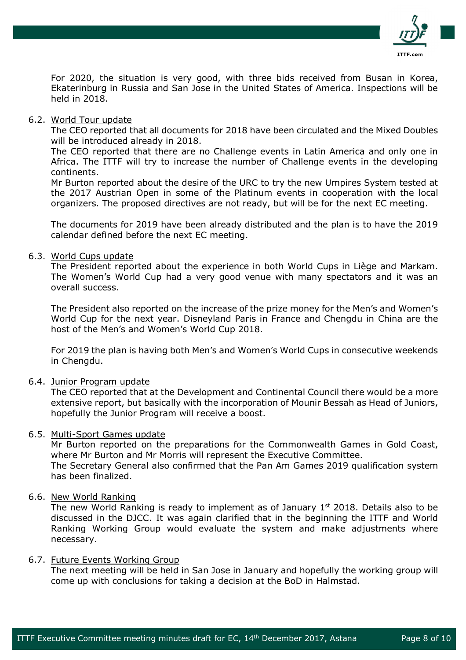

For 2020, the situation is very good, with three bids received from Busan in Korea, Ekaterinburg in Russia and San Jose in the United States of America. Inspections will be held in 2018.

#### 6.2. World Tour update

The CEO reported that all documents for 2018 have been circulated and the Mixed Doubles will be introduced already in 2018.

The CEO reported that there are no Challenge events in Latin America and only one in Africa. The ITTF will try to increase the number of Challenge events in the developing continents.

Mr Burton reported about the desire of the URC to try the new Umpires System tested at the 2017 Austrian Open in some of the Platinum events in cooperation with the local organizers. The proposed directives are not ready, but will be for the next EC meeting.

The documents for 2019 have been already distributed and the plan is to have the 2019 calendar defined before the next EC meeting.

#### 6.3. World Cups update

The President reported about the experience in both World Cups in Liège and Markam. The Women's World Cup had a very good venue with many spectators and it was an overall success.

The President also reported on the increase of the prize money for the Men's and Women's World Cup for the next year. Disneyland Paris in France and Chengdu in China are the host of the Men's and Women's World Cup 2018.

For 2019 the plan is having both Men's and Women's World Cups in consecutive weekends in Chengdu.

### 6.4. Junior Program update

The CEO reported that at the Development and Continental Council there would be a more extensive report, but basically with the incorporation of Mounir Bessah as Head of Juniors, hopefully the Junior Program will receive a boost.

### 6.5. Multi-Sport Games update

Mr Burton reported on the preparations for the Commonwealth Games in Gold Coast, where Mr Burton and Mr Morris will represent the Executive Committee. The Secretary General also confirmed that the Pan Am Games 2019 qualification system has been finalized.

## 6.6. New World Ranking

The new World Ranking is ready to implement as of January  $1<sup>st</sup>$  2018. Details also to be discussed in the DJCC. It was again clarified that in the beginning the ITTF and World Ranking Working Group would evaluate the system and make adjustments where necessary.

#### 6.7. Future Events Working Group

The next meeting will be held in San Jose in January and hopefully the working group will come up with conclusions for taking a decision at the BoD in Halmstad.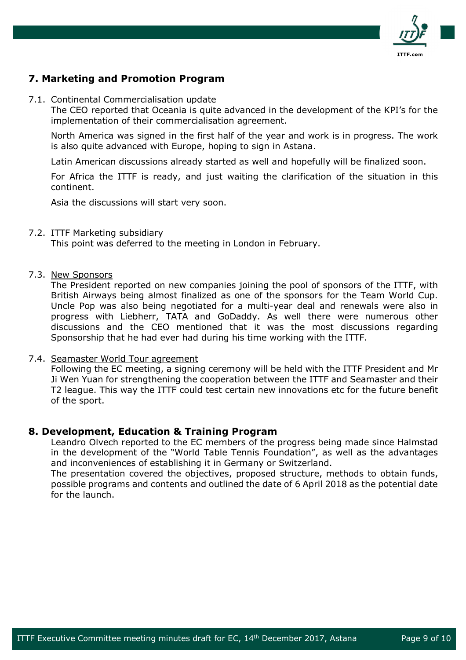

## **7. Marketing and Promotion Program**

#### 7.1. Continental Commercialisation update

The CEO reported that Oceania is quite advanced in the development of the KPI's for the implementation of their commercialisation agreement.

North America was signed in the first half of the year and work is in progress. The work is also quite advanced with Europe, hoping to sign in Astana.

Latin American discussions already started as well and hopefully will be finalized soon.

For Africa the ITTF is ready, and just waiting the clarification of the situation in this continent.

Asia the discussions will start very soon.

### 7.2. ITTF Marketing subsidiary

This point was deferred to the meeting in London in February.

#### 7.3. New Sponsors

The President reported on new companies joining the pool of sponsors of the ITTF, with British Airways being almost finalized as one of the sponsors for the Team World Cup. Uncle Pop was also being negotiated for a multi-year deal and renewals were also in progress with Liebherr, TATA and GoDaddy. As well there were numerous other discussions and the CEO mentioned that it was the most discussions regarding Sponsorship that he had ever had during his time working with the ITTF.

### 7.4. Seamaster World Tour agreement

Following the EC meeting, a signing ceremony will be held with the ITTF President and Mr Ji Wen Yuan for strengthening the cooperation between the ITTF and Seamaster and their T2 league. This way the ITTF could test certain new innovations etc for the future benefit of the sport.

### **8. Development, Education & Training Program**

Leandro Olvech reported to the EC members of the progress being made since Halmstad in the development of the "World Table Tennis Foundation", as well as the advantages and inconveniences of establishing it in Germany or Switzerland.

The presentation covered the objectives, proposed structure, methods to obtain funds, possible programs and contents and outlined the date of 6 April 2018 as the potential date for the launch.